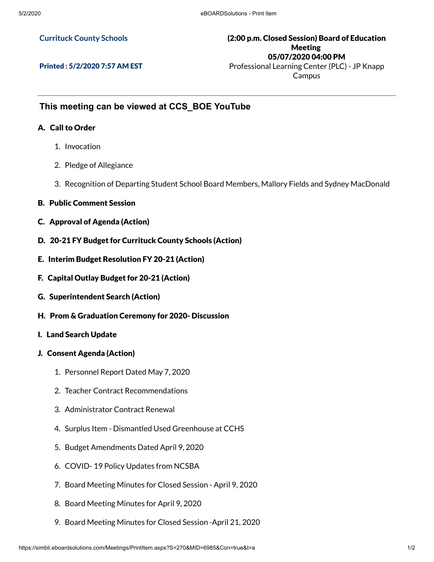#### **Currituck County Schools**

### (2:00 p.m. Closed Session) Board of Education Meeting 05/07/2020 04:00 PM Professional Learning Center (PLC) - JP Knapp

Printed : 5/2/2020 7:57 AM EST

Campus

## **This meeting can be viewed at CCS\_BOE YouTube**

#### A. Call to Order

- 1. Invocation
- 2. Pledge of Allegiance
- 3. Recognition of Departing Student School Board Members, Mallory Fields and Sydney MacDonald
- B. Public Comment Session
- C. Approval of Agenda (Action)
- D. 20-21 FY Budget for Currituck County Schools (Action)
- E. Interim Budget Resolution FY 20-21 (Action)
- F. Capital Outlay Budget for 20-21 (Action)
- G. Superintendent Search (Action)
- H. Prom & Graduation Ceremony for 2020- Discussion
- I. Land Search Update
- J. Consent Agenda (Action)
	- 1. Personnel Report Dated May 7, 2020
	- 2. Teacher Contract Recommendations
	- 3. Administrator Contract Renewal
	- 4. Surplus Item Dismantled Used Greenhouse at CCHS
	- 5. Budget Amendments Dated April 9, 2020
	- 6. COVID- 19 Policy Updates from NCSBA
	- 7. Board Meeting Minutes for Closed Session April 9, 2020
	- 8. Board Meeting Minutes for April 9, 2020
	- 9. Board Meeting Minutes for Closed Session -April 21, 2020